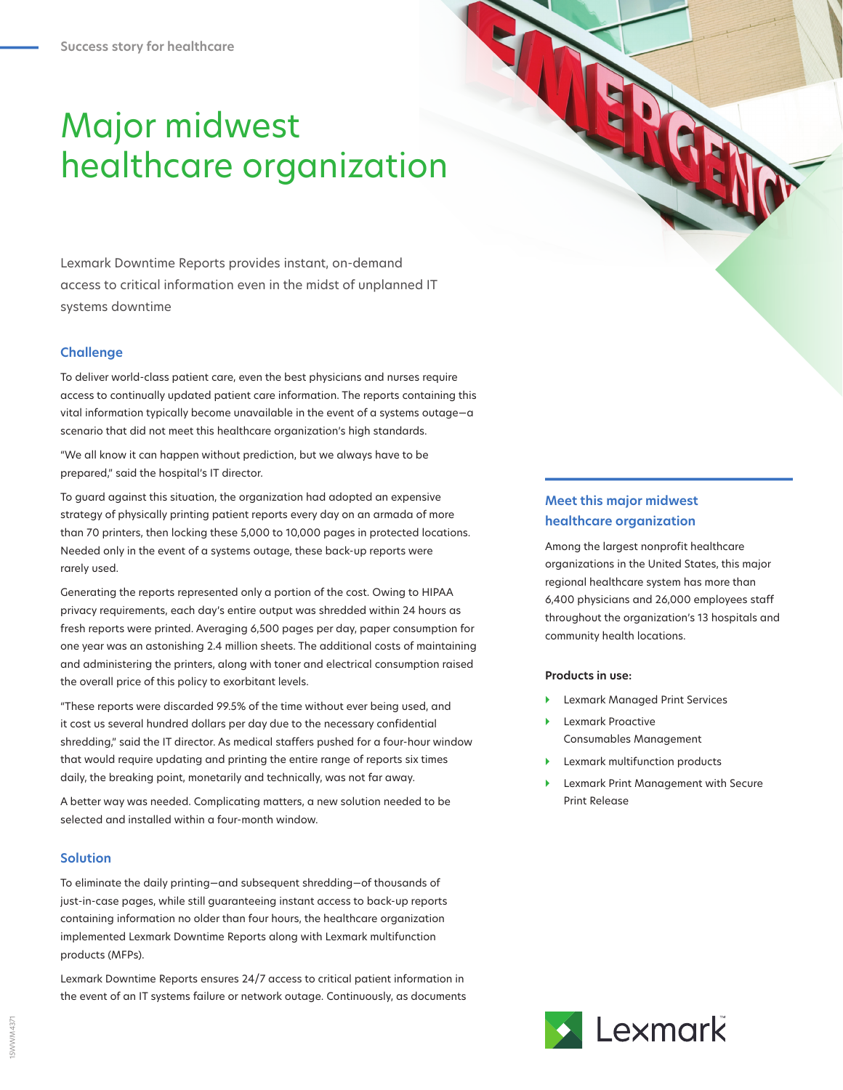# Major midwest healthcare organization

Lexmark Downtime Reports provides instant, on-demand access to critical information even in the midst of unplanned IT systems downtime

## **Challenge**

To deliver world-class patient care, even the best physicians and nurses require access to continually updated patient care information. The reports containing this vital information typically become unavailable in the event of a systems outage—a scenario that did not meet this healthcare organization's high standards.

"We all know it can happen without prediction, but we always have to be prepared," said the hospital's IT director.

To guard against this situation, the organization had adopted an expensive strategy of physically printing patient reports every day on an armada of more than 70 printers, then locking these 5,000 to 10,000 pages in protected locations. Needed only in the event of a systems outage, these back-up reports were rarely used.

Generating the reports represented only a portion of the cost. Owing to HIPAA privacy requirements, each day's entire output was shredded within 24 hours as fresh reports were printed. Averaging 6,500 pages per day, paper consumption for one year was an astonishing 2.4 million sheets. The additional costs of maintaining and administering the printers, along with toner and electrical consumption raised the overall price of this policy to exorbitant levels.

"These reports were discarded 99.5% of the time without ever being used, and it cost us several hundred dollars per day due to the necessary confidential shredding," said the IT director. As medical staffers pushed for a four-hour window that would require updating and printing the entire range of reports six times daily, the breaking point, monetarily and technically, was not far away.

A better way was needed. Complicating matters, a new solution needed to be selected and installed within a four-month window.

## **Solution**

To eliminate the daily printing—and subsequent shredding—of thousands of just-in-case pages, while still guaranteeing instant access to back-up reports containing information no older than four hours, the healthcare organization implemented Lexmark Downtime Reports along with Lexmark multifunction products (MFPs).

Lexmark Downtime Reports ensures 24/7 access to critical patient information in the event of an IT systems failure or network outage. Continuously, as documents

# **Meet this major midwest healthcare organization**

Among the largest nonprofit healthcare organizations in the United States, this major regional healthcare system has more than 6,400 physicians and 26,000 employees staff throughout the organization's 13 hospitals and community health locations.

### **Products in use:**

- ` Lexmark Managed Print Services
- ` Lexmark Proactive Consumables Management
- Lexmark multifunction products
- Lexmark Print Management with Secure Print Release